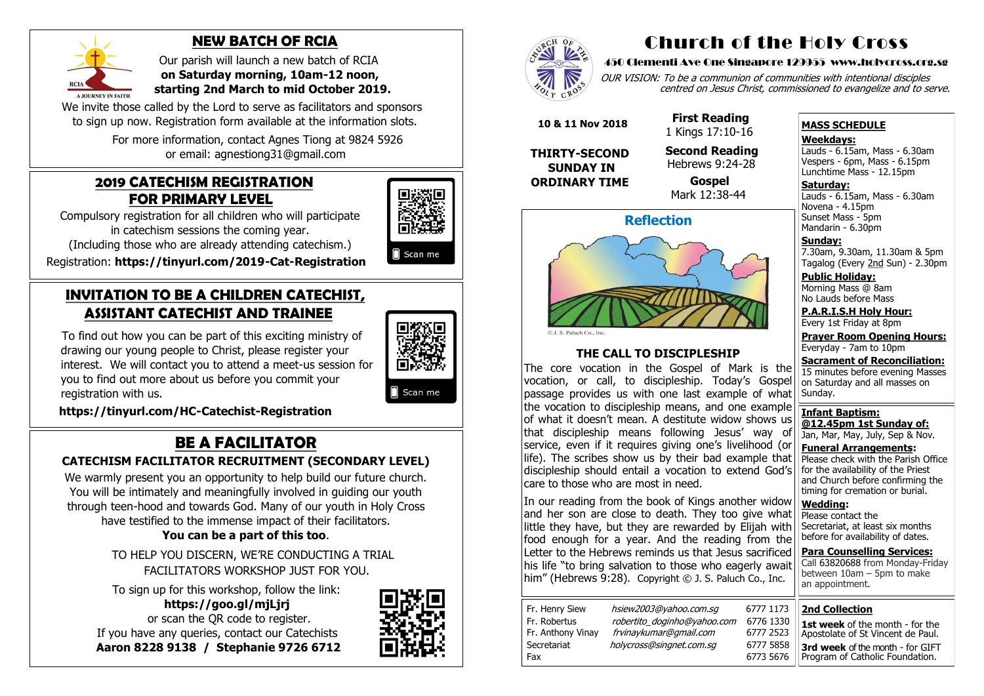#### **2019 CATECHISM REGISTRATION FOR PRIMARY LEVEL**

Compulsory registration for all children who will participate in catechism sessions the coming year.

(Including those who are already attending catechism.)

Registration: **[https://tinyurl.com/2019](https://tinyurl.com/2019-Cat-Registration)-Cat-Registration**

#### **INVITATION TO BE A CHILDREN CATECHIST, ASSISTANT CATECHIST AND TRAINEE**

To find out how you can be part of this exciting ministry of drawing our young people to Christ, please register your interest. We will contact you to attend a meet-us session for you to find out more about us before you commit your registration with us.



Scan me

 **[https://tinyurl.com/HC](https://tinyurl.com/HC-Catechist-Registration)-Catechist-Registration**

### **BE A FACILITATOR**

#### **CATECHISM FACILITATOR RECRUITMENT (SECONDARY LEVEL)**

We invite those called by the Lord to serve as facilitators and sponsors to sign up now. Registration form available at the information slots.

We warmly present you an opportunity to help build our future church. You will be intimately and meaningfully involved in guiding our youth through teen-hood and towards God. Many of our youth in Holy Cross have testified to the immense impact of their facilitators.

OUR VISION: To be a communion of communities with intentional disciples centred on Jesus Christ, commissioned to evangelize and to serve.

#### **You can be a part of this too**.

 TO HELP YOU DISCERN, WE'RE CONDUCTING A TRIAL FACILITATORS WORKSHOP JUST FOR YOU.

**Saturday:** Lauds - 6.15am, Mass - 6.30am Novena - 4.15pm Sunset Mass - 5pm Mandarin - 6.30pm

To sign up for this workshop, follow the link:

 **https://goo.gl/mjLjrj**  or scan the QR code to register. If you have any queries, contact our Catechists  **Aaron 8228 9138 / Stephanie 9726 6712**







#### **NEW BATCH OF RCIA**

 Our parish will launch a new batch of RCIA  **on Saturday morning, 10am-12 noon, starting 2nd March to mid October 2019.**

 For more information, contact Agnes Tiong at 9824 5926 or email: agnestiong31@gmail.com

#### Church of the Holy Cross

#### 450 Clementi Ave One Singapore 129955 www.holycross.org.sg

#### **MASS SCHEDULE**

**Weekdays:**

Lauds - 6.15am, Mass - 6.30am Vespers - 6pm, Mass - 6.15pm Lunchtime Mass - 12.15pm

**Sunday:** 7.30am, 9.30am, 11.30am & 5pm Tagalog (Every 2nd Sun) - 2.30pm

**Public Holiday:**  Morning Mass @ 8am No Lauds before Mass

**P.A.R.I.S.H Holy Hour:** Every 1st Friday at 8pm

**Prayer Room Opening Hours:** Everyday - 7am to 10pm

**Sacrament of Reconciliation:** 15 minutes before evening Masses on Saturday and all masses on Sunday.

**Infant Baptism: @12.45pm 1st Sunday of:** Jan, Mar, May, July, Sep & Nov.

**Funeral Arrangements:**  Please check with the Parish Office for the availability of the Priest and Church before confirming the timing for cremation or burial.

**Wedding:**  Please contact the Secretariat, at least six months before for availability of dates.

**Para Counselling Services:** Call [63820688](tel:+6563820688) from Monday-Friday between 10am – 5pm to make an appointment.



**THE CALL TO DISCIPLESHIP**

The core vocation in the Gospel of Mark is the vocation, or call, to discipleship. Today's Gospel passage provides us with one last example of what the vocation to discipleship means, and one example of what it doesn't mean. A destitute widow shows us that discipleship means following Jesus' way of service, even if it requires giving one's livelihood (or life). The scribes show us by their bad example that discipleship should entail a vocation to extend God's care to those who are most in need.

In our reading from the book of Kings another widow and her son are close to death. They too give what little they have, but they are rewarded by Elijah with food enough for a year. And the reading from the Letter to the Hebrews reminds us that Jesus sacrificed his life "to bring salvation to those who eagerly await him" (Hebrews 9:28). Copyright © J. S. Paluch Co., Inc.

| Fr. Henry Siew    |
|-------------------|
| Fr. Robertus      |
| Fr. Anthony Vinay |
| Secretariat       |
| Fax               |

hsiew 2003@yahoo.com.sg 6777 1173 robertito\_doginho@yahoo.com 6776 1330 frvinay kumar@gmail.com 6777 2523 holycross@singnet.com.sg 6777 5858

 **10 & 11 Nov 2018**

**THIRTY-SECOND SUNDAY IN ORDINARY TIME**

 **First Reading** 1 Kings 17:10-16

 **Second Reading** Hebrews 9:24-28

6773 5676

 **Gospel** Mark 12:38-44

# 

**2nd Collection**

**1st week** of the month - for the Apostolate of St Vincent de Paul. **3rd week** of the month - for GIFT Program of Catholic Foundation.